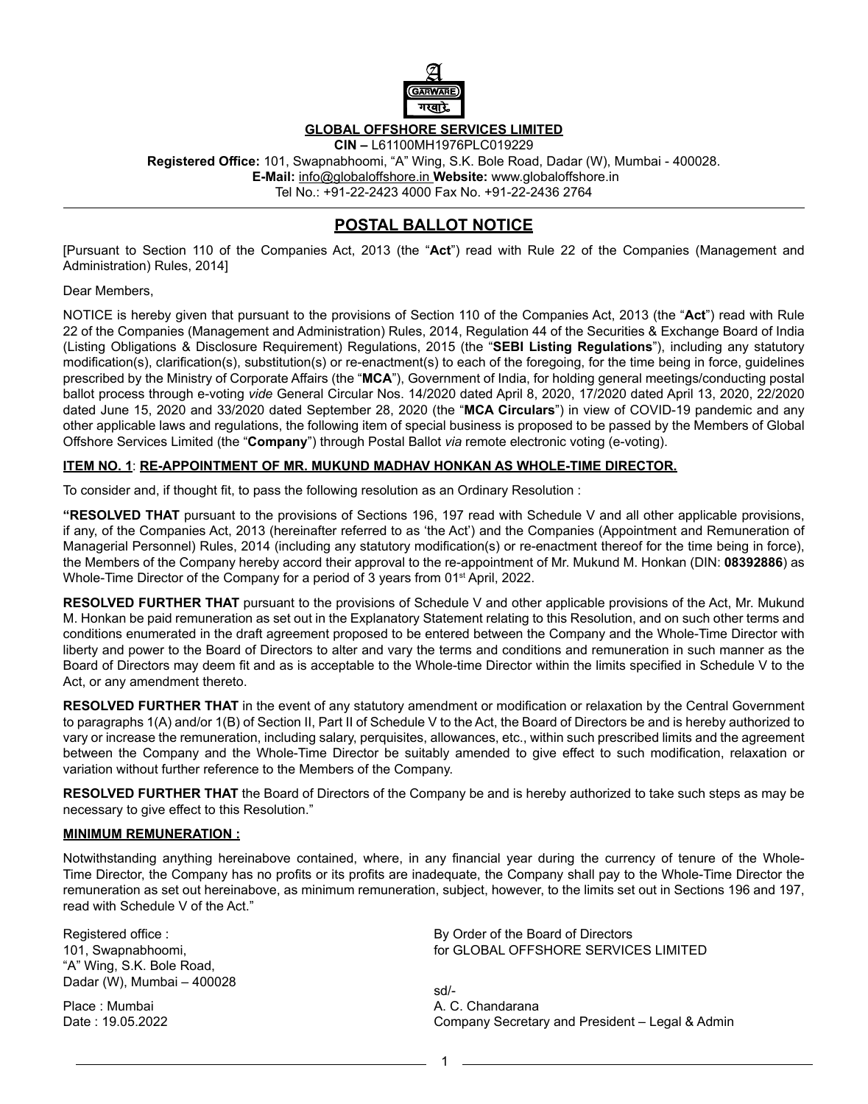

## **GLOBAL OFFSHORE SERVICES LIMITED**

**CIN –** L61100MH1976PLC019229 **Registered Office:** 101, Swapnabhoomi, "A" Wing, S.K. Bole Road, Dadar (W), Mumbai - 400028.  **E-Mail:** info@globaloffshore.in **Website:** www.globaloffshore.in Tel No.: +91-22-2423 4000 Fax No. +91-22-2436 2764

# **POSTAL BALLOT NOTICE**

[Pursuant to Section 110 of the Companies Act, 2013 (the "**Act**") read with Rule 22 of the Companies (Management and Administration) Rules, 2014]

### Dear Members,

NOTICE is hereby given that pursuant to the provisions of Section 110 of the Companies Act, 2013 (the "**Act**") read with Rule 22 of the Companies (Management and Administration) Rules, 2014, Regulation 44 of the Securities & Exchange Board of India (Listing Obligations & Disclosure Requirement) Regulations, 2015 (the "**SEBI Listing Regulations**"), including any statutory modification(s), clarification(s), substitution(s) or re-enactment(s) to each of the foregoing, for the time being in force, guidelines prescribed by the Ministry of Corporate Affairs (the "**MCA**"), Government of India, for holding general meetings/conducting postal ballot process through e-voting *vide* General Circular Nos. 14/2020 dated April 8, 2020, 17/2020 dated April 13, 2020, 22/2020 dated June 15, 2020 and 33/2020 dated September 28, 2020 (the "**MCA Circulars**") in view of COVID-19 pandemic and any other applicable laws and regulations, the following item of special business is proposed to be passed by the Members of Global Offshore Services Limited (the "**Company**") through Postal Ballot *via* remote electronic voting (e-voting).

### **ITEM NO. 1**: **RE-APPOINTMENT OF MR. MUKUND MADHAV HONKAN AS WHOLE-TIME DIRECTOR.**

To consider and, if thought fit, to pass the following resolution as an Ordinary Resolution :

**"RESOLVED THAT** pursuant to the provisions of Sections 196, 197 read with Schedule V and all other applicable provisions, if any, of the Companies Act, 2013 (hereinafter referred to as 'the Act') and the Companies (Appointment and Remuneration of Managerial Personnel) Rules, 2014 (including any statutory modification(s) or re-enactment thereof for the time being in force), the Members of the Company hereby accord their approval to the re-appointment of Mr. Mukund M. Honkan (DIN: **08392886**) as Whole-Time Director of the Company for a period of 3 years from 01<sup>st</sup> April, 2022.

**RESOLVED FURTHER THAT** pursuant to the provisions of Schedule V and other applicable provisions of the Act, Mr. Mukund M. Honkan be paid remuneration as set out in the Explanatory Statement relating to this Resolution, and on such other terms and conditions enumerated in the draft agreement proposed to be entered between the Company and the Whole-Time Director with liberty and power to the Board of Directors to alter and vary the terms and conditions and remuneration in such manner as the Board of Directors may deem fit and as is acceptable to the Whole-time Director within the limits specified in Schedule V to the Act, or any amendment thereto.

**RESOLVED FURTHER THAT** in the event of any statutory amendment or modification or relaxation by the Central Government to paragraphs 1(A) and/or 1(B) of Section II, Part II of Schedule V to the Act, the Board of Directors be and is hereby authorized to vary or increase the remuneration, including salary, perquisites, allowances, etc., within such prescribed limits and the agreement between the Company and the Whole-Time Director be suitably amended to give effect to such modification, relaxation or variation without further reference to the Members of the Company.

**RESOLVED FURTHER THAT** the Board of Directors of the Company be and is hereby authorized to take such steps as may be necessary to give effect to this Resolution."

#### **MINIMUM REMUNERATION :**

Notwithstanding anything hereinabove contained, where, in any financial year during the currency of tenure of the Whole-Time Director, the Company has no profits or its profits are inadequate, the Company shall pay to the Whole-Time Director the remuneration as set out hereinabove, as minimum remuneration, subject, however, to the limits set out in Sections 196 and 197, read with Schedule V of the Act."

Registered office : 101, Swapnabhoomi, "A" Wing, S.K. Bole Road, Dadar (W), Mumbai – 400028

Place : Mumbai Date : 19.05.2022 By Order of the Board of Directors for GLOBAL OFFSHORE SERVICES LIMITED

sd/- A. C. Chandarana Company Secretary and President – Legal & Admin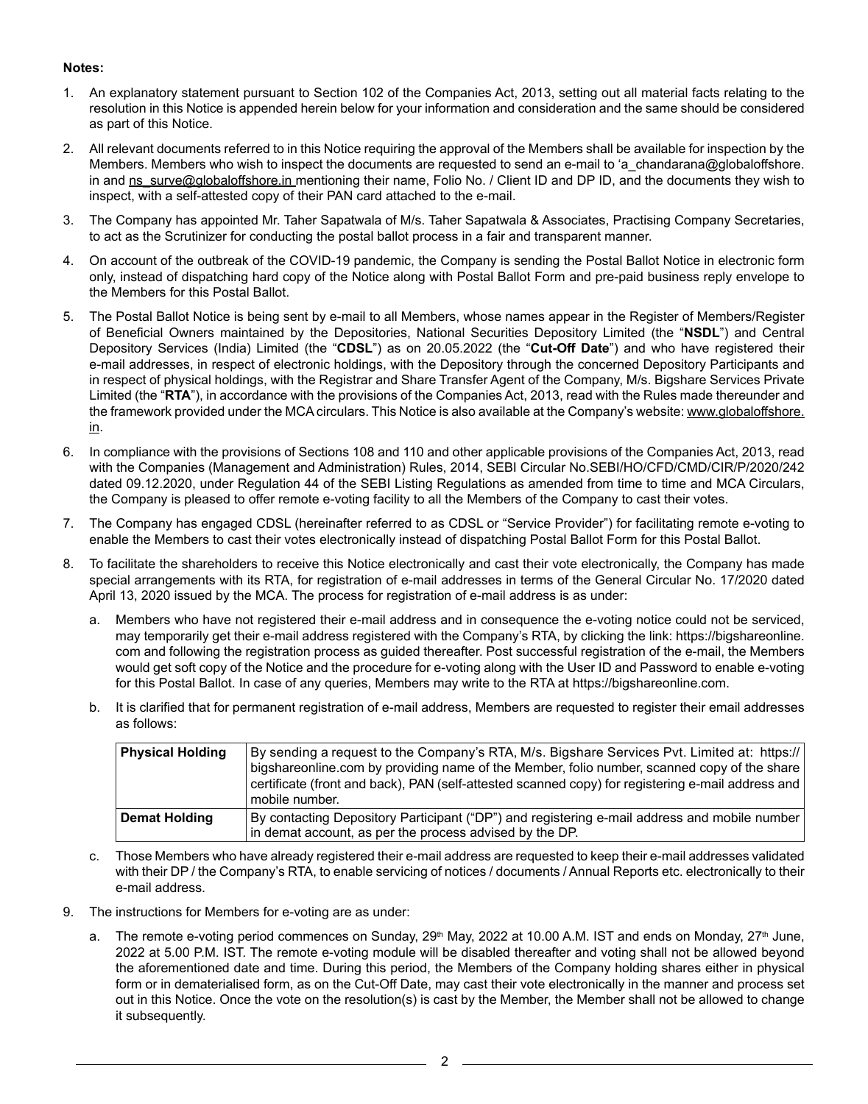# **Notes:**

- 1. An explanatory statement pursuant to Section 102 of the Companies Act, 2013, setting out all material facts relating to the resolution in this Notice is appended herein below for your information and consideration and the same should be considered as part of this Notice.
- 2. All relevant documents referred to in this Notice requiring the approval of the Members shall be available for inspection by the Members. Members who wish to inspect the documents are requested to send an e-mail to 'a chandarana@globaloffshore. in and ns\_surve@globaloffshore.in mentioning their name, Folio No. / Client ID and DP ID, and the documents they wish to inspect, with a self-attested copy of their PAN card attached to the e-mail.
- 3. The Company has appointed Mr. Taher Sapatwala of M/s. Taher Sapatwala & Associates, Practising Company Secretaries, to act as the Scrutinizer for conducting the postal ballot process in a fair and transparent manner.
- 4. On account of the outbreak of the COVID-19 pandemic, the Company is sending the Postal Ballot Notice in electronic form only, instead of dispatching hard copy of the Notice along with Postal Ballot Form and pre-paid business reply envelope to the Members for this Postal Ballot.
- 5. The Postal Ballot Notice is being sent by e-mail to all Members, whose names appear in the Register of Members/Register of Beneficial Owners maintained by the Depositories, National Securities Depository Limited (the "**NSDL**") and Central Depository Services (India) Limited (the "**CDSL**") as on 20.05.2022 (the "**Cut-Off Date**") and who have registered their e-mail addresses, in respect of electronic holdings, with the Depository through the concerned Depository Participants and in respect of physical holdings, with the Registrar and Share Transfer Agent of the Company, M/s. Bigshare Services Private Limited (the "**RTA**"), in accordance with the provisions of the Companies Act, 2013, read with the Rules made thereunder and the framework provided under the MCA circulars. This Notice is also available at the Company's website: www.globaloffshore. in.
- 6. In compliance with the provisions of Sections 108 and 110 and other applicable provisions of the Companies Act, 2013, read with the Companies (Management and Administration) Rules, 2014, SEBI Circular No.SEBI/HO/CFD/CMD/CIR/P/2020/242 dated 09.12.2020, under Regulation 44 of the SEBI Listing Regulations as amended from time to time and MCA Circulars, the Company is pleased to offer remote e-voting facility to all the Members of the Company to cast their votes.
- 7. The Company has engaged CDSL (hereinafter referred to as CDSL or "Service Provider") for facilitating remote e-voting to enable the Members to cast their votes electronically instead of dispatching Postal Ballot Form for this Postal Ballot.
- 8. To facilitate the shareholders to receive this Notice electronically and cast their vote electronically, the Company has made special arrangements with its RTA, for registration of e-mail addresses in terms of the General Circular No. 17/2020 dated April 13, 2020 issued by the MCA. The process for registration of e-mail address is as under:
	- a. Members who have not registered their e-mail address and in consequence the e-voting notice could not be serviced, may temporarily get their e-mail address registered with the Company's RTA, by clicking the link: https://bigshareonline. com and following the registration process as guided thereafter. Post successful registration of the e-mail, the Members would get soft copy of the Notice and the procedure for e-voting along with the User ID and Password to enable e-voting for this Postal Ballot. In case of any queries, Members may write to the RTA at https://bigshareonline.com.
	- b. It is clarified that for permanent registration of e-mail address, Members are requested to register their email addresses as follows:

| <b>Physical Holding</b> | By sending a request to the Company's RTA, M/s. Bigshare Services Pyt. Limited at: https://<br>bigshareonline.com by providing name of the Member, folio number, scanned copy of the share<br>certificate (front and back), PAN (self-attested scanned copy) for registering e-mail address and<br>mobile number. |
|-------------------------|-------------------------------------------------------------------------------------------------------------------------------------------------------------------------------------------------------------------------------------------------------------------------------------------------------------------|
| <b>Demat Holding</b>    | By contacting Depository Participant ("DP") and registering e-mail address and mobile number<br>in demat account, as per the process advised by the DP.                                                                                                                                                           |

- c. Those Members who have already registered their e-mail address are requested to keep their e-mail addresses validated with their DP / the Company's RTA, to enable servicing of notices / documents / Annual Reports etc. electronically to their e-mail address.
- 9. The instructions for Members for e-voting are as under:
	- a. The remote e-voting period commences on Sunday, 29<sup>th</sup> May, 2022 at 10.00 A.M. IST and ends on Monday, 27<sup>th</sup> June, 2022 at 5.00 P.M. IST. The remote e-voting module will be disabled thereafter and voting shall not be allowed beyond the aforementioned date and time. During this period, the Members of the Company holding shares either in physical form or in dematerialised form, as on the Cut-Off Date, may cast their vote electronically in the manner and process set out in this Notice. Once the vote on the resolution(s) is cast by the Member, the Member shall not be allowed to change it subsequently.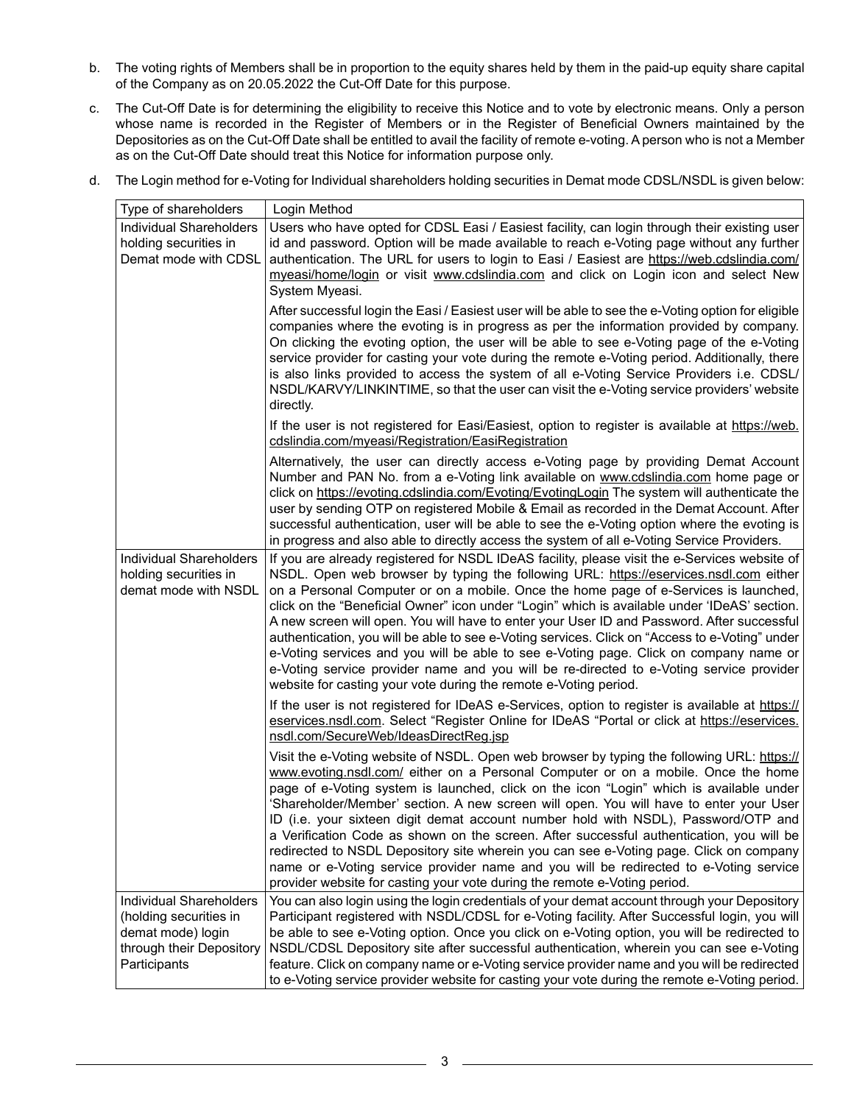- b. The voting rights of Members shall be in proportion to the equity shares held by them in the paid-up equity share capital of the Company as on 20.05.2022 the Cut-Off Date for this purpose.
- c. The Cut-Off Date is for determining the eligibility to receive this Notice and to vote by electronic means. Only a person whose name is recorded in the Register of Members or in the Register of Beneficial Owners maintained by the Depositories as on the Cut-Off Date shall be entitled to avail the facility of remote e-voting. A person who is not a Member as on the Cut-Off Date should treat this Notice for information purpose only.

| Type of shareholders                                                                                               | Login Method                                                                                                                                                                                                                                                                                                                                                                                                                                                                                                                                                                                                                                                                                                                                                                                                                           |
|--------------------------------------------------------------------------------------------------------------------|----------------------------------------------------------------------------------------------------------------------------------------------------------------------------------------------------------------------------------------------------------------------------------------------------------------------------------------------------------------------------------------------------------------------------------------------------------------------------------------------------------------------------------------------------------------------------------------------------------------------------------------------------------------------------------------------------------------------------------------------------------------------------------------------------------------------------------------|
| Individual Shareholders<br>holding securities in<br>Demat mode with CDSL                                           | Users who have opted for CDSL Easi / Easiest facility, can login through their existing user<br>id and password. Option will be made available to reach e-Voting page without any further<br>authentication. The URL for users to login to Easi / Easiest are https://web.cdslindia.com/<br>myeasi/home/login or visit www.cdslindia.com and click on Login icon and select New<br>System Myeasi.                                                                                                                                                                                                                                                                                                                                                                                                                                      |
|                                                                                                                    | After successful login the Easi / Easiest user will be able to see the e-Voting option for eligible<br>companies where the evoting is in progress as per the information provided by company.<br>On clicking the evoting option, the user will be able to see e-Voting page of the e-Voting<br>service provider for casting your vote during the remote e-Voting period. Additionally, there<br>is also links provided to access the system of all e-Voting Service Providers i.e. CDSL/<br>NSDL/KARVY/LINKINTIME, so that the user can visit the e-Voting service providers' website<br>directly.                                                                                                                                                                                                                                     |
|                                                                                                                    | If the user is not registered for Easi/Easiest, option to register is available at https://web.<br>cdslindia.com/myeasi/Registration/EasiRegistration                                                                                                                                                                                                                                                                                                                                                                                                                                                                                                                                                                                                                                                                                  |
|                                                                                                                    | Alternatively, the user can directly access e-Voting page by providing Demat Account<br>Number and PAN No. from a e-Voting link available on www.cdslindia.com home page or<br>click on https://evoting.cdslindia.com/Evoting/EvotingLogin The system will authenticate the<br>user by sending OTP on registered Mobile & Email as recorded in the Demat Account. After<br>successful authentication, user will be able to see the e-Voting option where the evoting is<br>in progress and also able to directly access the system of all e-Voting Service Providers.                                                                                                                                                                                                                                                                  |
| Individual Shareholders<br>holding securities in<br>demat mode with NSDL                                           | If you are already registered for NSDL IDeAS facility, please visit the e-Services website of<br>NSDL. Open web browser by typing the following URL: https://eservices.nsdl.com either<br>on a Personal Computer or on a mobile. Once the home page of e-Services is launched,<br>click on the "Beneficial Owner" icon under "Login" which is available under 'IDeAS' section.<br>A new screen will open. You will have to enter your User ID and Password. After successful<br>authentication, you will be able to see e-Voting services. Click on "Access to e-Voting" under<br>e-Voting services and you will be able to see e-Voting page. Click on company name or<br>e-Voting service provider name and you will be re-directed to e-Voting service provider<br>website for casting your vote during the remote e-Voting period. |
|                                                                                                                    | If the user is not registered for IDeAS e-Services, option to register is available at https://<br>eservices.nsdl.com. Select "Register Online for IDeAS "Portal or click at https://eservices.<br>nsdl.com/SecureWeb/IdeasDirectReg.jsp                                                                                                                                                                                                                                                                                                                                                                                                                                                                                                                                                                                               |
|                                                                                                                    | Visit the e-Voting website of NSDL. Open web browser by typing the following URL: https://<br>www.evoting.nsdl.com/ either on a Personal Computer or on a mobile. Once the home<br>page of e-Voting system is launched, click on the icon "Login" which is available under<br>'Shareholder/Member' section. A new screen will open. You will have to enter your User<br>ID (i.e. your sixteen digit demat account number hold with NSDL), Password/OTP and<br>a Verification Code as shown on the screen. After successful authentication, you will be<br>redirected to NSDL Depository site wherein you can see e-Voting page. Click on company<br>name or e-Voting service provider name and you will be redirected to e-Voting service<br>provider website for casting your vote during the remote e-Voting period.                 |
| Individual Shareholders<br>(holding securities in<br>demat mode) login<br>through their Depository<br>Participants | You can also login using the login credentials of your demat account through your Depository<br>Participant registered with NSDL/CDSL for e-Voting facility. After Successful login, you will<br>be able to see e-Voting option. Once you click on e-Voting option, you will be redirected to<br>NSDL/CDSL Depository site after successful authentication, wherein you can see e-Voting<br>feature. Click on company name or e-Voting service provider name and you will be redirected<br>to e-Voting service provider website for casting your vote during the remote e-Voting period.                                                                                                                                                                                                                                               |

d. The Login method for e-Voting for Individual shareholders holding securities in Demat mode CDSL/NSDL is given below: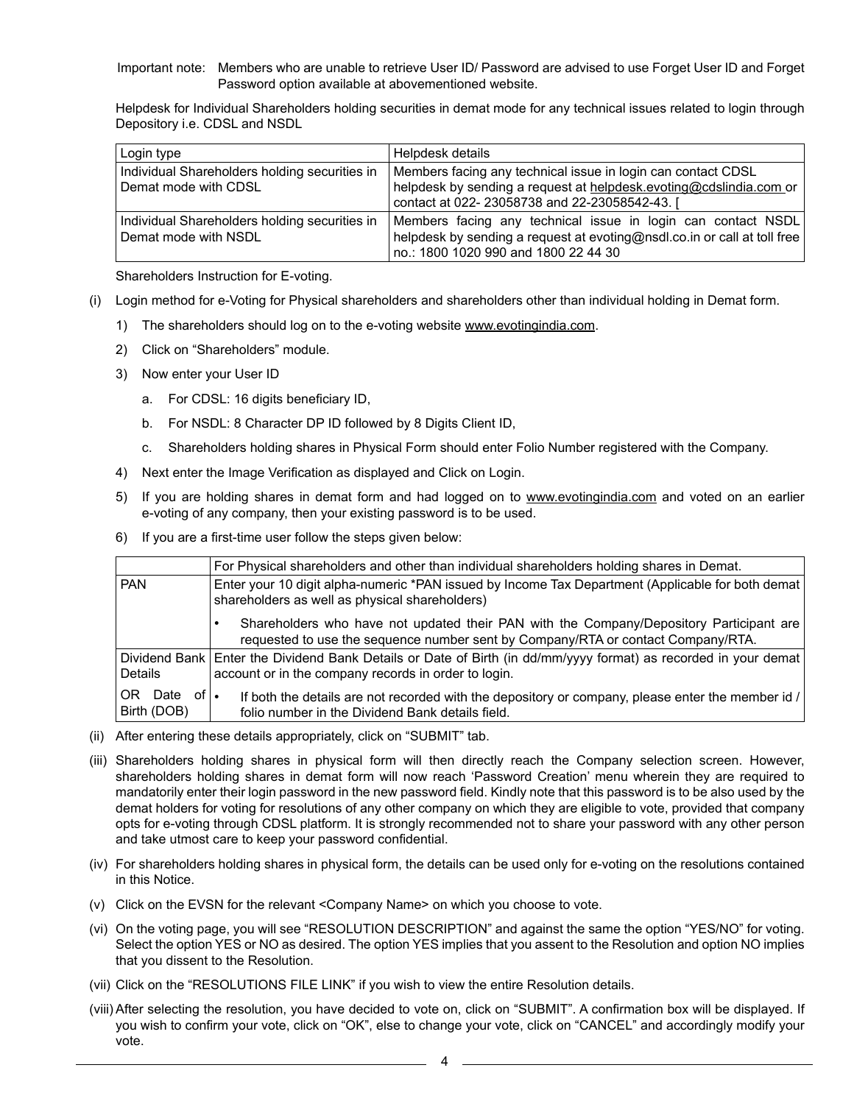Important note: Members who are unable to retrieve User ID/ Password are advised to use Forget User ID and Forget Password option available at abovementioned website.

Helpdesk for Individual Shareholders holding securities in demat mode for any technical issues related to login through Depository i.e. CDSL and NSDL

| Login type                                    | Helpdesk details                                                         |
|-----------------------------------------------|--------------------------------------------------------------------------|
| Individual Shareholders holding securities in | Members facing any technical issue in login can contact CDSL             |
| Demat mode with CDSL                          | helpdesk by sending a request at helpdesk.evoting@cdslindia.com or       |
|                                               | contact at 022-23058738 and 22-23058542-43.                              |
| Individual Shareholders holding securities in | Members facing any technical issue in login can contact NSDL             |
| Demat mode with NSDL                          | helpdesk by sending a request at evoting@nsdl.co.in or call at toll free |
|                                               | no.: 1800 1020 990 and 1800 22 44 30                                     |

Shareholders Instruction for E-voting.

- (i) Login method for e-Voting for Physical shareholders and shareholders other than individual holding in Demat form.
	- 1) The shareholders should log on to the e-voting website www.evotingindia.com.
	- 2) Click on "Shareholders" module.
	- 3) Now enter your User ID
		- a. For CDSL: 16 digits beneficiary ID,
		- b. For NSDL: 8 Character DP ID followed by 8 Digits Client ID,
		- c. Shareholders holding shares in Physical Form should enter Folio Number registered with the Company.
	- 4) Next enter the Image Verification as displayed and Click on Login.
	- 5) If you are holding shares in demat form and had logged on to www.evotingindia.com and voted on an earlier e-voting of any company, then your existing password is to be used.
	- 6) If you are a first-time user follow the steps given below:

|                                 | For Physical shareholders and other than individual shareholders holding shares in Demat.                                                                                   |  |  |
|---------------------------------|-----------------------------------------------------------------------------------------------------------------------------------------------------------------------------|--|--|
| <b>PAN</b>                      | Enter your 10 digit alpha-numeric *PAN issued by Income Tax Department (Applicable for both demat)<br>shareholders as well as physical shareholders)                        |  |  |
|                                 | Shareholders who have not updated their PAN with the Company/Depository Participant are<br>requested to use the sequence number sent by Company/RTA or contact Company/RTA. |  |  |
| Details                         | Dividend Bank Enter the Dividend Bank Details or Date of Birth (in dd/mm/yyyy format) as recorded in your demat<br>account or in the company records in order to login.     |  |  |
| 0R<br>Date of l.<br>Birth (DOB) | If both the details are not recorded with the depository or company, please enter the member id /<br>folio number in the Dividend Bank details field.                       |  |  |

- (ii) After entering these details appropriately, click on "SUBMIT" tab.
- (iii) Shareholders holding shares in physical form will then directly reach the Company selection screen. However, shareholders holding shares in demat form will now reach 'Password Creation' menu wherein they are required to mandatorily enter their login password in the new password field. Kindly note that this password is to be also used by the demat holders for voting for resolutions of any other company on which they are eligible to vote, provided that company opts for e-voting through CDSL platform. It is strongly recommended not to share your password with any other person and take utmost care to keep your password confidential.
- (iv) For shareholders holding shares in physical form, the details can be used only for e-voting on the resolutions contained in this Notice.
- (v) Click on the EVSN for the relevant <Company Name> on which you choose to vote.
- (vi) On the voting page, you will see "RESOLUTION DESCRIPTION" and against the same the option "YES/NO" for voting. Select the option YES or NO as desired. The option YES implies that you assent to the Resolution and option NO implies that you dissent to the Resolution.
- (vii) Click on the "RESOLUTIONS FILE LINK" if you wish to view the entire Resolution details.
- (viii) After selecting the resolution, you have decided to vote on, click on "SUBMIT". A confirmation box will be displayed. If you wish to confirm your vote, click on "OK", else to change your vote, click on "CANCEL" and accordingly modify your vote.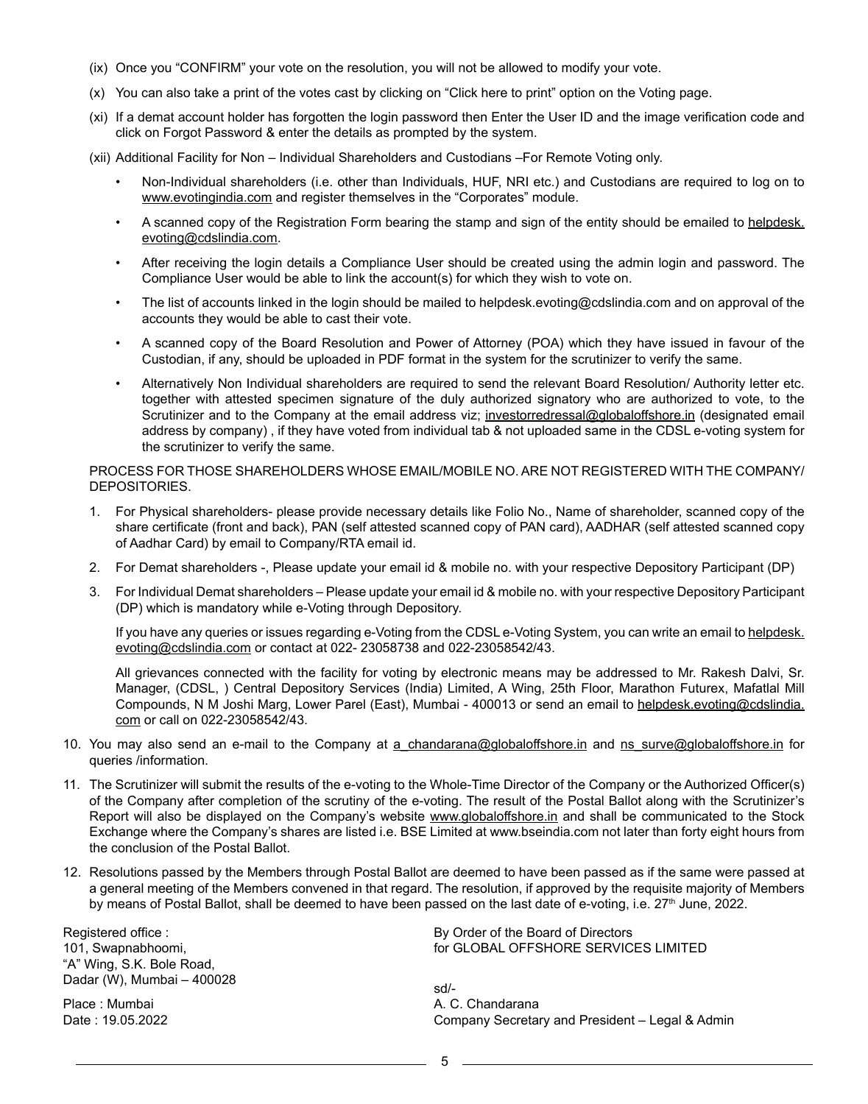- (ix) Once you "CONFIRM" your vote on the resolution, you will not be allowed to modify your vote.
- (x) You can also take a print of the votes cast by clicking on "Click here to print" option on the Voting page.
- (xi) If a demat account holder has forgotten the login password then Enter the User ID and the image verification code and click on Forgot Password & enter the details as prompted by the system.
- (xii) Additional Facility for Non Individual Shareholders and Custodians –For Remote Voting only.
	- Non-Individual shareholders (i.e. other than Individuals, HUF, NRI etc.) and Custodians are required to log on to www.evotingindia.com and register themselves in the "Corporates" module.
	- A scanned copy of the Registration Form bearing the stamp and sign of the entity should be emailed to helpdesk. evoting@cdslindia.com.
	- After receiving the login details a Compliance User should be created using the admin login and password. The Compliance User would be able to link the account(s) for which they wish to vote on.
	- The list of accounts linked in the login should be mailed to helpdesk.evoting@cdslindia.com and on approval of the accounts they would be able to cast their vote.
	- A scanned copy of the Board Resolution and Power of Attorney (POA) which they have issued in favour of the Custodian, if any, should be uploaded in PDF format in the system for the scrutinizer to verify the same.
	- Alternatively Non Individual shareholders are required to send the relevant Board Resolution/ Authority letter etc. together with attested specimen signature of the duly authorized signatory who are authorized to vote, to the Scrutinizer and to the Company at the email address viz; investorredressal@globaloffshore.in (designated email address by company) , if they have voted from individual tab & not uploaded same in the CDSL e-voting system for the scrutinizer to verify the same.

### PROCESS FOR THOSE SHAREHOLDERS WHOSE EMAIL/MOBILE NO. ARE NOT REGISTERED WITH THE COMPANY/ DEPOSITORIES.

- 1. For Physical shareholders- please provide necessary details like Folio No., Name of shareholder, scanned copy of the share certificate (front and back), PAN (self attested scanned copy of PAN card), AADHAR (self attested scanned copy of Aadhar Card) by email to Company/RTA email id.
- 2. For Demat shareholders -, Please update your email id & mobile no. with your respective Depository Participant (DP)
- 3. For Individual Demat shareholders Please update your email id & mobile no. with your respective Depository Participant (DP) which is mandatory while e-Voting through Depository.

If you have any queries or issues regarding e-Voting from the CDSL e-Voting System, you can write an email to helpdesk. evoting@cdslindia.com or contact at 022- 23058738 and 022-23058542/43.

All grievances connected with the facility for voting by electronic means may be addressed to Mr. Rakesh Dalvi, Sr. Manager, (CDSL, ) Central Depository Services (India) Limited, A Wing, 25th Floor, Marathon Futurex, Mafatlal Mill Compounds, N M Joshi Marg, Lower Parel (East), Mumbai - 400013 or send an email to helpdesk.evoting@cdslindia. com or call on 022-23058542/43.

- 10. You may also send an e-mail to the Company at a\_chandarana@globaloffshore.in and ns\_surve@globaloffshore.in for queries /information.
- 11. The Scrutinizer will submit the results of the e-voting to the Whole-Time Director of the Company or the Authorized Officer(s) of the Company after completion of the scrutiny of the e-voting. The result of the Postal Ballot along with the Scrutinizer's Report will also be displayed on the Company's website www.globaloffshore.in and shall be communicated to the Stock Exchange where the Company's shares are listed i.e. BSE Limited at www.bseindia.com not later than forty eight hours from the conclusion of the Postal Ballot.
- 12. Resolutions passed by the Members through Postal Ballot are deemed to have been passed as if the same were passed at a general meeting of the Members convened in that regard. The resolution, if approved by the requisite majority of Members by means of Postal Ballot, shall be deemed to have been passed on the last date of e-voting, i.e. 27<sup>th</sup> June, 2022.

Registered office : 101, Swapnabhoomi, "A" Wing, S.K. Bole Road, Dadar (W), Mumbai – 400028

Place : Mumbai Date : 19.05.2022

By Order of the Board of Directors for GLOBAL OFFSHORE SERVICES LIMITED

sd/- A. C. Chandarana Company Secretary and President – Legal & Admin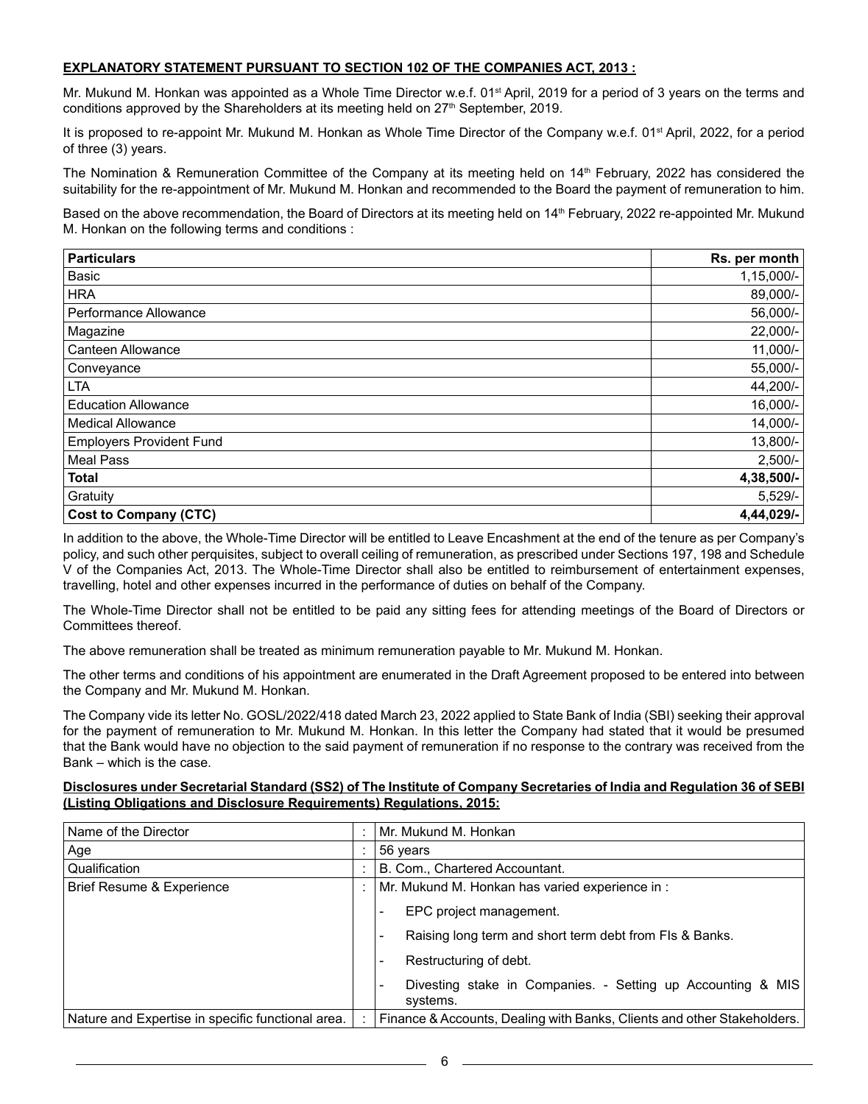## **EXPLANATORY STATEMENT PURSUANT TO SECTION 102 OF THE COMPANIES ACT, 2013 :**

Mr. Mukund M. Honkan was appointed as a Whole Time Director w.e.f. 01<sup>st</sup> April, 2019 for a period of 3 years on the terms and conditions approved by the Shareholders at its meeting held on 27<sup>th</sup> September, 2019.

It is proposed to re-appoint Mr. Mukund M. Honkan as Whole Time Director of the Company w.e.f. 01<sup>st</sup> April, 2022, for a period of three (3) years.

The Nomination & Remuneration Committee of the Company at its meeting held on 14<sup>th</sup> February, 2022 has considered the suitability for the re-appointment of Mr. Mukund M. Honkan and recommended to the Board the payment of remuneration to him.

Based on the above recommendation, the Board of Directors at its meeting held on 14<sup>th</sup> February, 2022 re-appointed Mr. Mukund M. Honkan on the following terms and conditions :

| <b>Particulars</b>              | Rs. per month |
|---------------------------------|---------------|
| Basic                           | $1,15,000/-$  |
| <b>HRA</b>                      | 89,000/-      |
| Performance Allowance           | 56,000/-      |
| Magazine                        | 22,000/-      |
| Canteen Allowance               | $11,000/-$    |
| Conveyance                      | 55,000/-      |
| <b>LTA</b>                      | 44,200/-      |
| <b>Education Allowance</b>      | 16,000/-      |
| <b>Medical Allowance</b>        | 14,000/-      |
| <b>Employers Provident Fund</b> | 13,800/-      |
| <b>Meal Pass</b>                | $2,500/-$     |
| <b>Total</b>                    | 4,38,500/-    |
| Gratuity                        | $5,529/-$     |
| Cost to Company (CTC)           | 4,44,029/-    |

In addition to the above, the Whole-Time Director will be entitled to Leave Encashment at the end of the tenure as per Company's policy, and such other perquisites, subject to overall ceiling of remuneration, as prescribed under Sections 197, 198 and Schedule V of the Companies Act, 2013. The Whole-Time Director shall also be entitled to reimbursement of entertainment expenses, travelling, hotel and other expenses incurred in the performance of duties on behalf of the Company.

The Whole-Time Director shall not be entitled to be paid any sitting fees for attending meetings of the Board of Directors or Committees thereof.

The above remuneration shall be treated as minimum remuneration payable to Mr. Mukund M. Honkan.

The other terms and conditions of his appointment are enumerated in the Draft Agreement proposed to be entered into between the Company and Mr. Mukund M. Honkan.

The Company vide its letter No. GOSL/2022/418 dated March 23, 2022 applied to State Bank of India (SBI) seeking their approval for the payment of remuneration to Mr. Mukund M. Honkan. In this letter the Company had stated that it would be presumed that the Bank would have no objection to the said payment of remuneration if no response to the contrary was received from the Bank – which is the case.

### **Disclosures under Secretarial Standard (SS2) of The Institute of Company Secretaries of India and Regulation 36 of SEBI (Listing Obligations and Disclosure Requirements) Regulations, 2015:**

| Name of the Director                              | Mr. Mukund M. Honkan                                                                                                                                                                         |
|---------------------------------------------------|----------------------------------------------------------------------------------------------------------------------------------------------------------------------------------------------|
| Age                                               | 56 years                                                                                                                                                                                     |
| Qualification                                     | B. Com., Chartered Accountant.                                                                                                                                                               |
| Brief Resume & Experience                         | Mr. Mukund M. Honkan has varied experience in:                                                                                                                                               |
|                                                   | EPC project management.<br>Raising long term and short term debt from FIs & Banks.<br>Restructuring of debt.<br>Divesting stake in Companies. - Setting up Accounting & MIS<br>-<br>systems. |
| Nature and Expertise in specific functional area. | Finance & Accounts, Dealing with Banks, Clients and other Stakeholders.                                                                                                                      |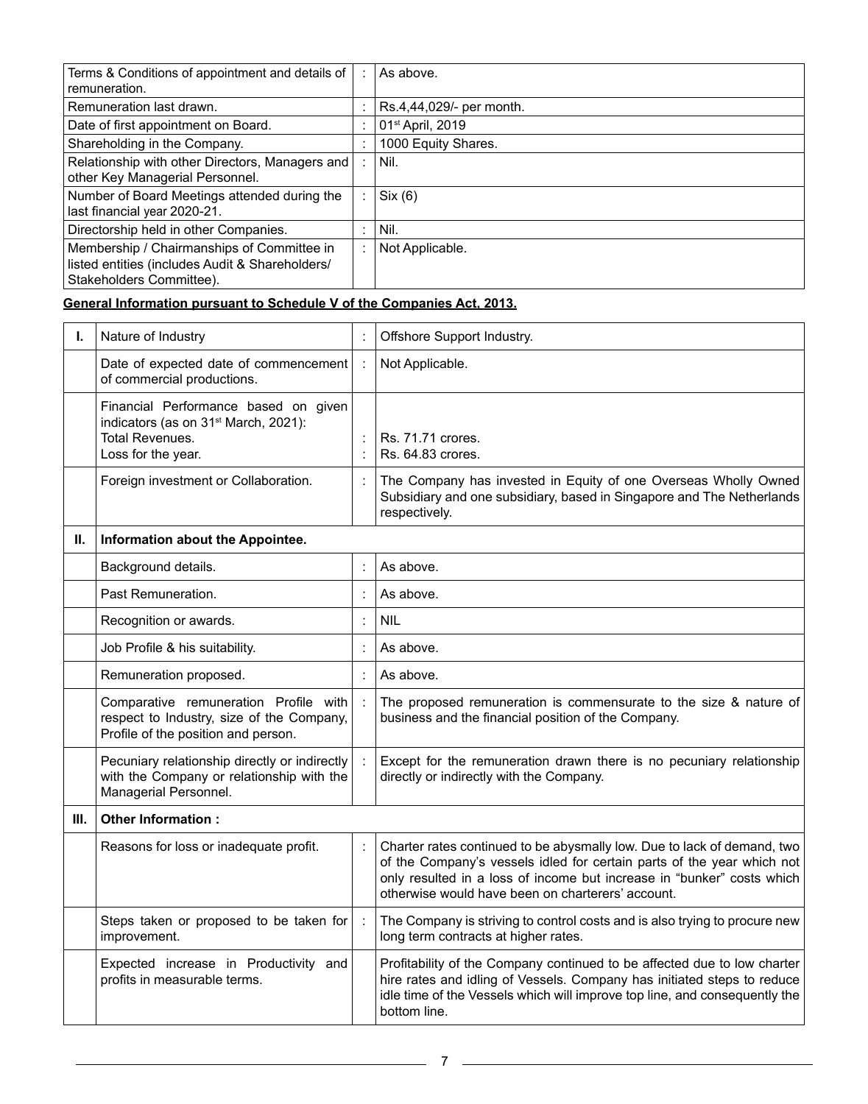| Terms & Conditions of appointment and details of<br>remuneration.                                                         | ÷       | As above.                    |
|---------------------------------------------------------------------------------------------------------------------------|---------|------------------------------|
| Remuneration last drawn.                                                                                                  | ٠       | Rs.4,44,029/- per month.     |
| Date of first appointment on Board.                                                                                       | ٠       | 01 <sup>st</sup> April, 2019 |
| Shareholding in the Company.                                                                                              | ٠       | 1000 Equity Shares.          |
| Relationship with other Directors, Managers and<br>other Key Managerial Personnel.                                        | ÷       | Nil.                         |
| Number of Board Meetings attended during the<br>last financial year 2020-21.                                              | ÷       | Six (6)                      |
| Directorship held in other Companies.                                                                                     | $\cdot$ | Nil.                         |
| Membership / Chairmanships of Committee in<br>listed entities (includes Audit & Shareholders/<br>Stakeholders Committee). | ÷       | Not Applicable.              |

# **General Information pursuant to Schedule V of the Companies Act, 2013.**

| ı. | Nature of Industry                                                                                                                       | $\ddot{\cdot}$             | Offshore Support Industry.                                                                                                                                                                                                                                                       |
|----|------------------------------------------------------------------------------------------------------------------------------------------|----------------------------|----------------------------------------------------------------------------------------------------------------------------------------------------------------------------------------------------------------------------------------------------------------------------------|
|    | Date of expected date of commencement<br>of commercial productions.                                                                      | $\ddot{\phantom{a}}$       | Not Applicable.                                                                                                                                                                                                                                                                  |
|    | Financial Performance based on given<br>indicators (as on 31 <sup>st</sup> March, 2021):<br><b>Total Revenues.</b><br>Loss for the year. | $\vdots$<br>$\ddot{\cdot}$ | Rs. 71.71 crores.<br>Rs. 64.83 crores.                                                                                                                                                                                                                                           |
|    | Foreign investment or Collaboration.                                                                                                     | $\ddot{\cdot}$             | The Company has invested in Equity of one Overseas Wholly Owned<br>Subsidiary and one subsidiary, based in Singapore and The Netherlands<br>respectively.                                                                                                                        |
| Н. | Information about the Appointee.                                                                                                         |                            |                                                                                                                                                                                                                                                                                  |
|    | Background details.                                                                                                                      |                            | As above.                                                                                                                                                                                                                                                                        |
|    | Past Remuneration.                                                                                                                       | $\ddot{\cdot}$             | As above.                                                                                                                                                                                                                                                                        |
|    | Recognition or awards.                                                                                                                   | $\ddot{\cdot}$             | <b>NIL</b>                                                                                                                                                                                                                                                                       |
|    | Job Profile & his suitability.                                                                                                           | ċ                          | As above.                                                                                                                                                                                                                                                                        |
|    | Remuneration proposed.                                                                                                                   | ċ                          | As above.                                                                                                                                                                                                                                                                        |
|    | Comparative remuneration Profile with<br>respect to Industry, size of the Company,<br>Profile of the position and person.                |                            | The proposed remuneration is commensurate to the size & nature of<br>business and the financial position of the Company.                                                                                                                                                         |
|    | Pecuniary relationship directly or indirectly<br>with the Company or relationship with the<br>Managerial Personnel.                      |                            | Except for the remuneration drawn there is no pecuniary relationship<br>directly or indirectly with the Company.                                                                                                                                                                 |
| Ш. | Other Information:                                                                                                                       |                            |                                                                                                                                                                                                                                                                                  |
|    | Reasons for loss or inadequate profit.                                                                                                   |                            | Charter rates continued to be abysmally low. Due to lack of demand, two<br>of the Company's vessels idled for certain parts of the year which not<br>only resulted in a loss of income but increase in "bunker" costs which<br>otherwise would have been on charterers' account. |
|    | Steps taken or proposed to be taken for<br>improvement.                                                                                  | $\ddot{\phantom{a}}$       | The Company is striving to control costs and is also trying to procure new<br>long term contracts at higher rates.                                                                                                                                                               |
|    | Expected increase in Productivity and<br>profits in measurable terms.                                                                    |                            | Profitability of the Company continued to be affected due to low charter<br>hire rates and idling of Vessels. Company has initiated steps to reduce<br>idle time of the Vessels which will improve top line, and consequently the<br>bottom line.                                |